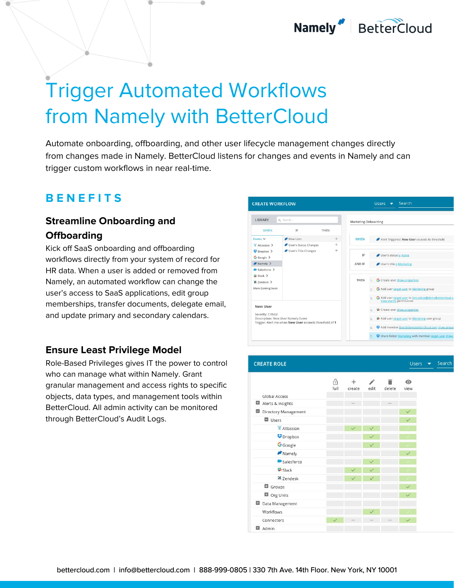## Namely BetterCloud

# Trigger Automated Workflows from Namely with BetterCloud

Automate onboarding, offboarding, and other user lifecycle management changes directly from changes made in Namely. BetterCloud listens for changes and events in Namely and can trigger custom workflows in near real-time.

### **B E N E F I T S**

#### **Streamline Onboarding and Offboarding**

Kick off SaaS onboarding and offboarding workflows directly from your system of record for HR data. When a user is added or removed from Namely, an automated workflow can change the user's access to SaaS applications, edit group memberships, transfer documents, delegate email, and update primary and secondary calendars.

#### **Ensure Least Privilege Model**

Role-Based Privileges gives IT the power to control who can manage what within Namely. Grant granular management and access rights to specific objects, data types, and management tools within BetterCloud. All admin activity can be monitored through BetterCloud's Audit Logs.